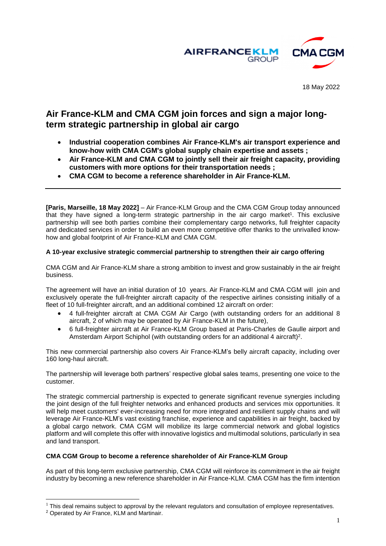

18 May 2022

# **Air France-KLM and CMA CGM join forces and sign a major longterm strategic partnership in global air cargo**

- **Industrial cooperation combines Air France-KLM's air transport experience and know-how with CMA CGM's global supply chain expertise and assets ;**
- **Air France-KLM and CMA CGM to jointly sell their air freight capacity, providing customers with more options for their transportation needs ;**
- **CMA CGM to become a reference shareholder in Air France-KLM.**

**[Paris, Marseille, 18 May 2022]** – Air France-KLM Group and the CMA CGM Group today announced that they have signed a long-term strategic partnership in the air cargo market<sup>1</sup>. This exclusive partnership will see both parties combine their complementary cargo networks, full freighter capacity and dedicated services in order to build an even more competitive offer thanks to the unrivalled knowhow and global footprint of Air France-KLM and CMA CGM.

# **A 10-year exclusive strategic commercial partnership to strengthen their air cargo offering**

CMA CGM and Air France-KLM share a strong ambition to invest and grow sustainably in the air freight business.

The agreement will have an initial duration of 10 years. Air France-KLM and CMA CGM will join and exclusively operate the full-freighter aircraft capacity of the respective airlines consisting initially of a fleet of 10 full-freighter aircraft, and an additional combined 12 aircraft on order:

- 4 full-freighter aircraft at CMA CGM Air Cargo (with outstanding orders for an additional 8 aircraft, 2 of which may be operated by Air France-KLM in the future),
- 6 full-freighter aircraft at Air France-KLM Group based at Paris-Charles de Gaulle airport and Amsterdam Airport Schiphol (with outstanding orders for an additional 4 aircraft)<sup>2</sup>.

This new commercial partnership also covers Air France-KLM's belly aircraft capacity, including over 160 long-haul aircraft.

The partnership will leverage both partners' respective global sales teams, presenting one voice to the customer.

The strategic commercial partnership is expected to generate significant revenue synergies including the joint design of the full freighter networks and enhanced products and services mix opportunities. It will help meet customers' ever-increasing need for more integrated and resilient supply chains and will leverage Air France-KLM's vast existing franchise, experience and capabilities in air freight, backed by a global cargo network. CMA CGM will mobilize its large commercial network and global logistics platform and will complete this offer with innovative logistics and multimodal solutions, particularly in sea and land transport.

## **CMA CGM Group to become a reference shareholder of Air France-KLM Group**

As part of this long-term exclusive partnership, CMA CGM will reinforce its commitment in the air freight industry by becoming a new reference shareholder in Air France-KLM. CMA CGM has the firm intention

l

 $1$  This deal remains subject to approval by the relevant regulators and consultation of employee representatives.

<sup>2</sup> Operated by Air France, KLM and Martinair.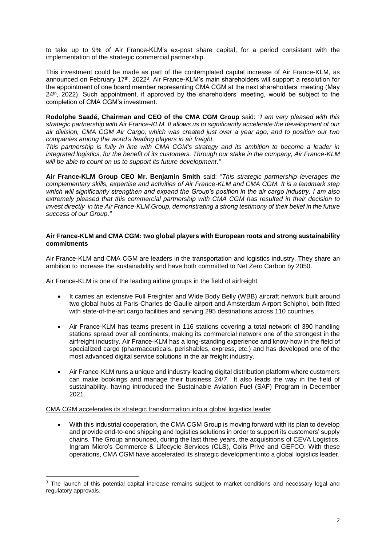to take up to 9% of Air France-KLM's ex-post share capital, for a period consistent with the implementation of the strategic commercial partnership.

This investment could be made as part of the contemplated capital increase of Air France-KLM, as announced on February 17<sup>th</sup>, 2022<sup>3</sup>. Air France-KLM's main shareholders will support a resolution for the appointment of one board member representing CMA CGM at the next shareholders' meeting (May 24<sup>th</sup>, 2022). Such appointment, if approved by the shareholders' meeting, would be subject to the completion of CMA CGM's investment.

**Rodolphe Saadé, Chairman and CEO of the CMA CGM Group** said: *"I am very pleased with this strategic partnership with Air France-KLM. It allows us to significantly accelerate the development of our air division, CMA CGM Air Cargo, which was created just over a year ago, and to position our two companies among the world's leading players in air freight.* 

*This partnership is fully in line with CMA CGM's strategy and its ambition to become a leader in integrated logistics, for the benefit of its customers. Through our stake in the company, Air France-KLM will be able to count on us to support its future development."*

**Air France-KLM Group CEO Mr. Benjamin Smith** said: "*This strategic partnership leverages the complementary skills, expertise and activities of Air France-KLM and CMA CGM. It is a landmark step which will significantly strengthen and expand the Group's position in the air cargo industry. I am also extremely pleased that this commercial partnership with CMA CGM has resulted in their decision to invest directly in the Air France-KLM Group, demonstrating a strong testimony of their belief in the future success of our Group."* 

## **Air France-KLM and CMA CGM: two global players with European roots and strong sustainability commitments**

Air France-KLM and CMA CGM are leaders in the transportation and logistics industry. They share an ambition to increase the sustainability and have both committed to Net Zero Carbon by 2050.

Air France-KLM is one of the leading airline groups in the field of airfreight

- It carries an extensive Full Freighter and Wide Body Belly (WBB) aircraft network built around two global hubs at Paris-Charles de Gaulle airport and Amsterdam Airport Schiphol, both fitted with state-of-the-art cargo facilities and serving 295 destinations across 110 countries.
- Air France-KLM has teams present in 116 stations covering a total network of 390 handling stations spread over all continents, making its commercial network one of the strongest in the airfreight industry. Air France-KLM has a long-standing experience and know-how in the field of specialized cargo (pharmaceuticals, perishables, express, etc.) and has developed one of the most advanced digital service solutions in the air freight industry.
- Air France-KLM runs a unique and industry-leading digital distribution platform where customers can make bookings and manage their business 24/7. It also leads the way in the field of sustainability, having introduced the Sustainable Aviation Fuel (SAF) Program in December 2021.

CMA CGM accelerates its strategic transformation into a global logistics leader

 $\overline{a}$ 

 With this industrial cooperation, the CMA CGM Group is moving forward with its plan to develop and provide end-to-end shipping and logistics solutions in order to support its customers' supply chains. The Group announced, during the last three years, the acquisitions of CEVA Logistics, Ingram Micro's Commerce & Lifecycle Services (CLS), Colis Privé and GEFCO. With these operations, CMA CGM have accelerated its strategic development into a global logistics leader.

<sup>&</sup>lt;sup>3</sup> The launch of this potential capital increase remains subject to market conditions and necessary legal and regulatory approvals.